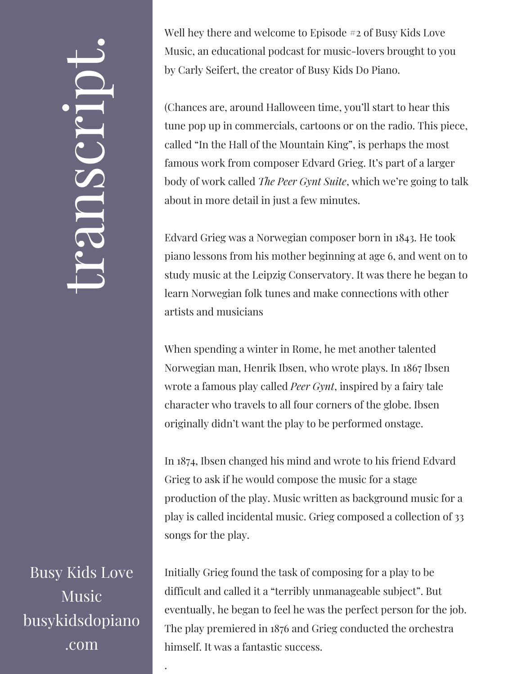## $\overline{\phantom{0}}$ ra<br>O n $\mathcal{S}$  $\bigcup$ r $\bullet$   $\overline{\phantom{1}}$  $\boxed{\phantom{1}}$  $\overline{\phantom{0}}$  $\bullet$

Busy Kids Love Music busykidsdopiano .com

.

Well hey there and welcome to Episode #2 of Busy Kids Love Music, an educational podcast for music-lovers brought to you by Carly Seifert, the creator of Busy Kids Do Piano.

(Chances are, around Halloween time, you'll start to hear this tune pop up in commercials, cartoons or on the radio. This piece, called "In the Hall of the Mountain King", is perhaps the most famous work from composer Edvard Grieg. It's part of a larger body of work called *The Peer Gynt Suite*, which we're going to talk about in more detail in just a few minutes.

Edvard Grieg was a Norwegian composer born in 1843. He took piano lessons from his mother beginning at age 6, and went on to study music at the Leipzig Conservatory. It was there he began to learn Norwegian folk tunes and make connections with other artists and musicians

When spending a winter in Rome, he met another talented Norwegian man, Henrik Ibsen, who wrote plays. In 1867 Ibsen wrote a famous play called *Peer Gynt*, inspired by a fairy tale character who travels to all four corners of the globe. Ibsen originally didn't want the play to be performed onstage.

In 1874, Ibsen changed his mind and wrote to his friend Edvard Grieg to ask if he would compose the music for a stage production of the play. Music written as background music for a play is called incidental music. Grieg composed a collection of 33 songs for the play.

Initially Grieg found the task of composing for a play to be difficult and called it a "terribly unmanageable subject". But eventually, he began to feel he was the perfect person for the job. The play premiered in 1876 and Grieg conducted the orchestra himself. It was a fantastic success.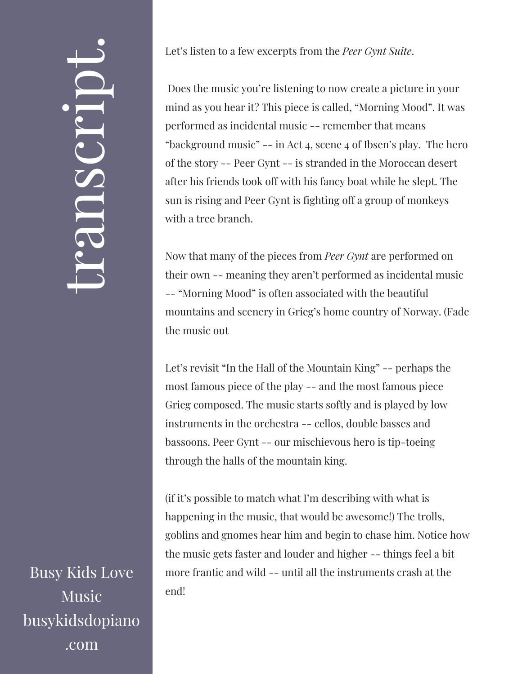## $\overline{\phantom{0}}$ ra<br>O n $\mathcal{S}$  $\bigcup$ r $\bullet$   $\overline{\phantom{1}}$  $\boxed{\phantom{1}}$  $\overline{\phantom{0}}$  $\bullet$

Busy Kids Love Music busykidsdopiano .com

Let's listen to a few excerpts from the *Peer Gynt Suite*.

Does the music you're listening to now create a picture in your mind as you hear it? This piece is called, "Morning Mood". It was performed as incidental music -- remember that means "background music" -- in Act 4, scene 4 of Ibsen's play. The hero of the story -- Peer Gynt -- is stranded in the Moroccan desert after his friends took off with his fancy boat while he slept. The sun is rising and Peer Gynt is fighting off a group of monkeys with a tree branch.

Now that many of the pieces from *Peer Gynt* are performed on their own -- meaning they aren't performed as incidental music -- "Morning Mood" is often associated with the beautiful mountains and scenery in Grieg's home country of Norway. (Fade the music out

Let's revisit "In the Hall of the Mountain King" -- perhaps the most famous piece of the play -- and the most famous piece Grieg composed. The music starts softly and is played by low instruments in the orchestra -- cellos, double basses and bassoons. Peer Gynt -- our mischievous hero is tip-toeing through the halls of the mountain king.

(if it's possible to match what I'm describing with what is happening in the music, that would be awesome!) The trolls, goblins and gnomes hear him and begin to chase him. Notice how the music gets faster and louder and higher -- things feel a bit more frantic and wild -- until all the instruments crash at the end!